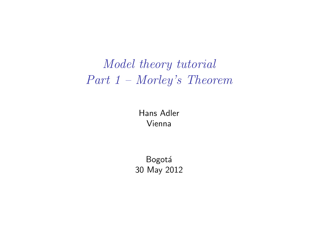# *Model theory tutorial Part 1 – Morley's Theorem*

Hans Adler Vienna

**Bogotá** 30 May 2012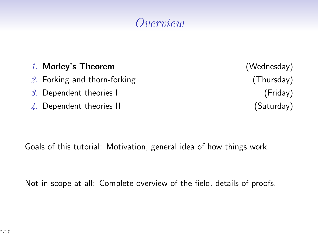# *Overview*

| 1. Morley's Theorem                   | (Wednesday) |
|---------------------------------------|-------------|
| 2. Forking and thorn-forking          | (Thursday)  |
| $3.$ Dependent theories I             | (Friday)    |
| $\frac{1}{4}$ . Dependent theories II | (Saturday)  |

Goals of this tutorial: Motivation, general idea of how things work.

Not in scope at all: Complete overview of the field, details of proofs.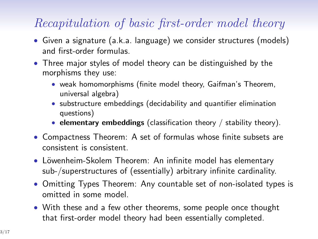# *Recapitulation of basic first-order model theory*

- *•* Given a signature (a.k.a. language) we consider structures (models) and first-order formulas.
- *•* Three major styles of model theory can be distinguished by the morphisms they use:
	- *•* weak homomorphisms (finite model theory, Gaifman's Theorem, universal algebra)
	- *•* substructure embeddings (decidability and quantifier elimination questions)
	- *•* **elementary embeddings** (classification theory / stability theory).
- *•* Compactness Theorem: A set of formulas whose finite subsets are consistent is consistent.
- Löwenheim-Skolem Theorem: An infinite model has elementary sub-/superstructures of (essentially) arbitrary infinite cardinality.
- *•* Omitting Types Theorem: Any countable set of non-isolated types is omitted in some model.
- *•* With these and a few other theorems, some people once thought that first-order model theory had been essentially completed.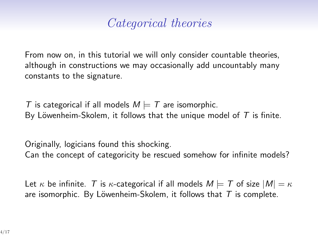# *Categorical theories*

From now on, in this tutorial we will only consider countable theories, although in constructions we may occasionally add uncountably many constants to the signature.

*T* is categorical if all models  $M \models T$  are isomorphic. By Löwenheim-Skolem, it follows that the unique model of  $T$  is finite.

Originally, logicians found this shocking. Can the concept of categoricity be rescued somehow for infinite models?

Let  $\kappa$  be infinite. *T* is  $\kappa$ -categorical if all models  $M \models T$  of size  $|M| = \kappa$ are isomorphic. By Löwenheim-Skolem, it follows that  $T$  is complete.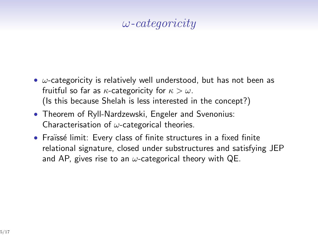#### *ω-categoricity*

- *• ω*-categoricity is relatively well understood, but has not been as fruitful so far as *κ*-categoricity for *κ > ω*. (Is this because Shelah is less interested in the concept?)
- *•* Theorem of Ryll-Nardzewski, Engeler and Svenonius: Characterisation of *ω*-categorical theories.
- Fraïssé limit: Every class of finite structures in a fixed finite relational signature, closed under substructures and satisfying JEP and AP, gives rise to an *ω*-categorical theory with QE.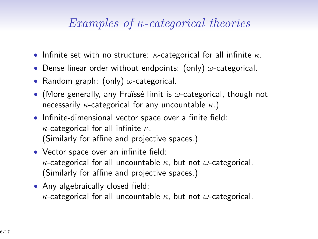## *Examples of κ-categorical theories*

- *•* Infinite set with no structure: *κ*-categorical for all infinite *κ*.
- *•* Dense linear order without endpoints: (only) *ω*-categorical.
- *•* Random graph: (only) *ω*-categorical.
- (More generally, any Fraïssé limit is *ω*-categorical, though not necessarily *κ*-categorical for any uncountable *κ*.)
- *•* Infinite-dimensional vector space over a finite field: *κ*-categorical for all infinite *κ*. (Similarly for affine and projective spaces.)
- *•* Vector space over an infinite field: *κ*-categorical for all uncountable *κ*, but not *ω*-categorical. (Similarly for affine and projective spaces.)
- Any algebraically closed field: *κ*-categorical for all uncountable *κ*, but not *ω*-categorical.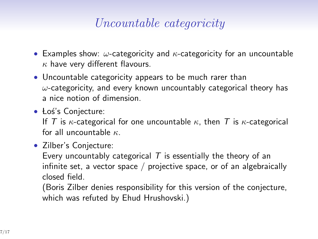## *Uncountable categoricity*

- *•* Examples show: *ω*-categoricity and *κ*-categoricity for an uncountable *κ* have very different flavours.
- *•* Uncountable categoricity appears to be much rarer than *ω*-categoricity, and every known uncountably categorical theory has a nice notion of dimension.
- Łoś's Conjecture:

If *T* is *κ*-categorical for one uncountable  $\kappa$ , then *T* is *κ*-categorical for all uncountable *κ*.

*•* Zilber's Conjecture:

Every uncountably categorical *T* is essentially the theory of an infinite set, a vector space / projective space, or of an algebraically closed field.

(Boris Zilber denies responsibility for this version of the conjecture, which was refuted by Ehud Hrushovski.)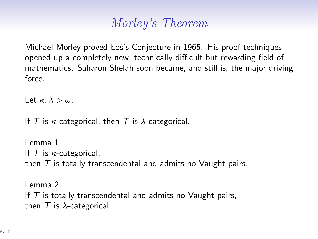# *Morley's Theorem*

Michael Morley proved Los's Conjecture in 1965. His proof techniques opened up a completely new, technically difficult but rewarding field of mathematics. Saharon Shelah soon became, and still is, the major driving force.

Let  $\kappa, \lambda > \omega$ .

If *T* is *κ*-categorical, then *T* is *λ*-categorical.

Lemma 1 If *T* is *κ*-categorical, then *T* is totally transcendental and admits no Vaught pairs.

Lemma 2 If *T* is totally transcendental and admits no Vaught pairs, then  $T$  is  $\lambda$ -categorical.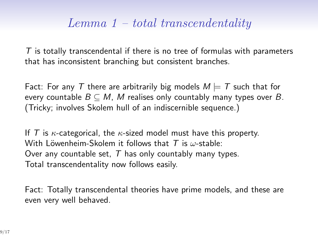## *Lemma 1 – total transcendentality*

*T* is totally transcendental if there is no tree of formulas with parameters that has inconsistent branching but consistent branches.

Fact: For any T there are arbitrarily big models  $M \models T$  such that for every countable  $B \subseteq M$ , M realises only countably many types over  $B$ . (Tricky; involves Skolem hull of an indiscernible sequence.)

If *T* is *κ*-categorical, the *κ*-sized model must have this property. With Löwenheim-Skolem it follows that *T* is *ω*-stable: Over any countable set, *T* has only countably many types. Total transcendentality now follows easily.

Fact: Totally transcendental theories have prime models, and these are even very well behaved.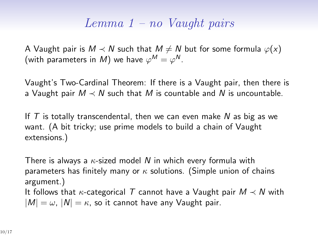#### *Lemma 1 – no Vaught pairs*

A Vaught pair is  $M \prec N$  such that  $M \neq N$  but for some formula  $\varphi(x)$ (with parameters in  $M$ ) we have  $\varphi^M = \varphi^N.$ 

Vaught's Two-Cardinal Theorem: If there is a Vaught pair, then there is a Vaught pair  $M \prec N$  such that M is countable and N is uncountable.

If *T* is totally transcendental, then we can even make *N* as big as we want. (A bit tricky; use prime models to build a chain of Vaught extensions.)

There is always a *κ*-sized model *N* in which every formula with parameters has finitely many or *κ* solutions. (Simple union of chains argument.) It follows that *κ*-categorical *T* cannot have a Vaught pair *M ≺ N* with  $|M| = \omega$ ,  $|N| = \kappa$ , so it cannot have any Vaught pair.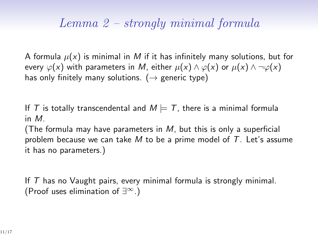## *Lemma 2 – strongly minimal formula*

A formula  $\mu(x)$  is minimal in M if it has infinitely many solutions, but for every  $\varphi(x)$  with parameters in *M*, either  $\mu(x) \wedge \varphi(x)$  or  $\mu(x) \wedge \neg \varphi(x)$ has only finitely many solutions. (*→* generic type)

If *T* is totally transcendental and  $M \models T$ , there is a minimal formula in *M*.

(The formula may have parameters in *M*, but this is only a superficial problem because we can take *M* to be a prime model of *T*. Let's assume it has no parameters.)

If *T* has no Vaught pairs, every minimal formula is strongly minimal. (Proof uses elimination of *∃∞*.)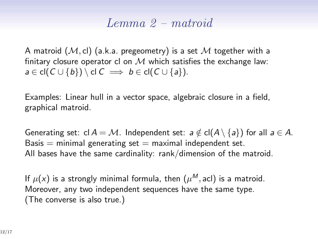#### *Lemma 2 – matroid*

A matroid (*M,* cl) (a.k.a. pregeometry) is a set *M* together with a finitary closure operator cl on *M* which satisfies the exchange law: *a* ∈ cl( $C \cup \{b\}$ ) \ cl  $C \implies b \in$  cl( $C \cup \{a\}$ ).

Examples: Linear hull in a vector space, algebraic closure in a field, graphical matroid.

Generating set:  $cl A = M$ . Independent set:  $a \notin cl(A \setminus \{a\})$  for all  $a \in A$ . Basis  $=$  minimal generating set  $=$  maximal independent set. All bases have the same cardinality: rank/dimension of the matroid.

If  $\mu(x)$  is a strongly minimal formula, then  $(\mu^M, \text{acl})$  is a matroid. Moreover, any two independent sequences have the same type. (The converse is also true.)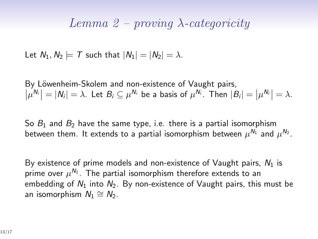#### *Lemma 2 – proving λ-categoricity*

Let  $N_1, N_2 \models T$  such that  $|N_1| = |N_2| = \lambda$ .

By Löwenheim-Skolem and non-existence of Vaught pairs,  $|\mu^{N_i}| = |N_i| = \lambda$ . Let  $B_i \subseteq \mu^{N_i}$  be a basis of  $\mu^{N_i}$ . Then  $|B_i| = |\mu^{N_i}| = \lambda$ .

So  $B_1$  and  $B_2$  have the same type, i.e. there is a partial isomorphism between them. It extends to a partial isomorphism between  $\mu^{\textit{N}_{1}}$  and  $\mu^{\textit{N}_{2}}.$ 

By existence of prime models and non-existence of Vaught pairs, *N*<sup>1</sup> is prime over  $\mu^{\mathsf{N}_{1}}.$  The partial isomorphism therefore extends to an embedding of  $N_1$  into  $N_2$ . By non-existence of Vaught pairs, this must be an isomorphism  $N_1 \cong N_2$ .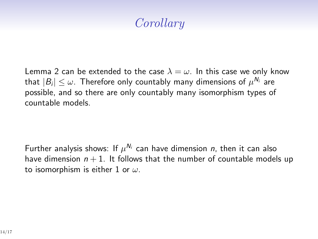# *Corollary*

Lemma 2 can be extended to the case  $\lambda = \omega$ . In this case we only know that  $|B_i| \le \omega$ . Therefore only countably many dimensions of  $\mu^{\textit{N}_i}$  are possible, and so there are only countably many isomorphism types of countable models.

Further analysis shows: If  $\mu^{N_i}$  can have dimension *n*, then it can also have dimension  $n + 1$ . It follows that the number of countable models up to isomorphism is either 1 or *ω*.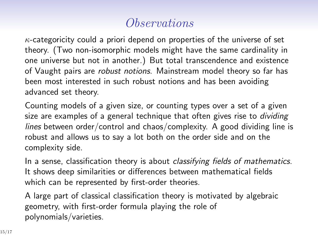# *Observations*

*κ*-categoricity could a priori depend on properties of the universe of set theory. (Two non-isomorphic models might have the same cardinality in one universe but not in another.) But total transcendence and existence of Vaught pairs are *robust notions*. Mainstream model theory so far has been most interested in such robust notions and has been avoiding advanced set theory.

Counting models of a given size, or counting types over a set of a given size are examples of a general technique that often gives rise to *dividing lines* between order/control and chaos/complexity. A good dividing line is robust and allows us to say a lot both on the order side and on the complexity side.

In a sense, classification theory is about *classifying fields of mathematics*. It shows deep similarities or differences between mathematical fields which can be represented by first-order theories.

A large part of classical classification theory is motivated by algebraic geometry, with first-order formula playing the role of polynomials/varieties.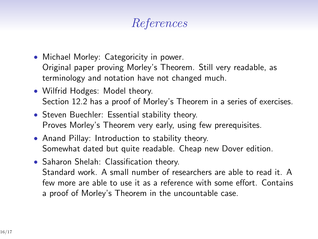# *References*

- Michael Morley: Categoricity in power. Original paper proving Morley's Theorem. Still very readable, as terminology and notation have not changed much.
- Wilfrid Hodges: Model theory. Section 12.2 has a proof of Morley's Theorem in a series of exercises.
- *•* Steven Buechler: Essential stability theory. Proves Morley's Theorem very early, using few prerequisites.
- *•* Anand Pillay: Introduction to stability theory. Somewhat dated but quite readable. Cheap new Dover edition.
- *•* Saharon Shelah: Classification theory. Standard work. A small number of researchers are able to read it. A few more are able to use it as a reference with some effort. Contains a proof of Morley's Theorem in the uncountable case.